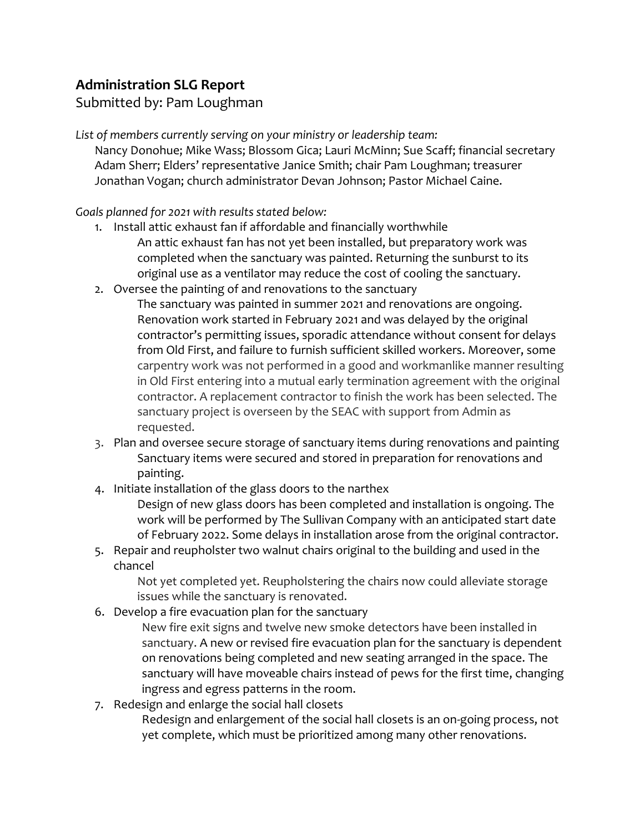## **Administration SLG Report**

Submitted by: Pam Loughman

*List of members currently serving on your ministry or leadership team:* Nancy Donohue; Mike Wass; Blossom Gica; Lauri McMinn; Sue Scaff; financial secretary Adam Sherr; Elders' representative Janice Smith; chair Pam Loughman; treasurer Jonathan Vogan; church administrator Devan Johnson; Pastor Michael Caine.

## *Goals planned for 2021 with results stated below:*

- 1. Install attic exhaust fan if affordable and financially worthwhile An attic exhaust fan has not yet been installed, but preparatory work was completed when the sanctuary was painted. Returning the sunburst to its original use as a ventilator may reduce the cost of cooling the sanctuary.
- 2. Oversee the painting of and renovations to the sanctuary The sanctuary was painted in summer 2021 and renovations are ongoing. Renovation work started in February 2021 and was delayed by the original contractor's permitting issues, sporadic attendance without consent for delays from Old First, and failure to furnish sufficient skilled workers. Moreover, some carpentry work was not performed in a good and workmanlike manner resulting in Old First entering into a mutual early termination agreement with the original contractor. A replacement contractor to finish the work has been selected. The sanctuary project is overseen by the SEAC with support from Admin as requested.
- 3. Plan and oversee secure storage of sanctuary items during renovations and painting Sanctuary items were secured and stored in preparation for renovations and painting.
- 4. Initiate installation of the glass doors to the narthex

Design of new glass doors has been completed and installation is ongoing. The work will be performed by The Sullivan Company with an anticipated start date of February 2022. Some delays in installation arose from the original contractor.

5. Repair and reupholster two walnut chairs original to the building and used in the chancel

Not yet completed yet. Reupholstering the chairs now could alleviate storage issues while the sanctuary is renovated.

6. Develop a fire evacuation plan for the sanctuary

New fire exit signs and twelve new smoke detectors have been installed in sanctuary. A new or revised fire evacuation plan for the sanctuary is dependent on renovations being completed and new seating arranged in the space. The sanctuary will have moveable chairs instead of pews for the first time, changing ingress and egress patterns in the room.

7. Redesign and enlarge the social hall closets Redesign and enlargement of the social hall closets is an on-going process, not yet complete, which must be prioritized among many other renovations.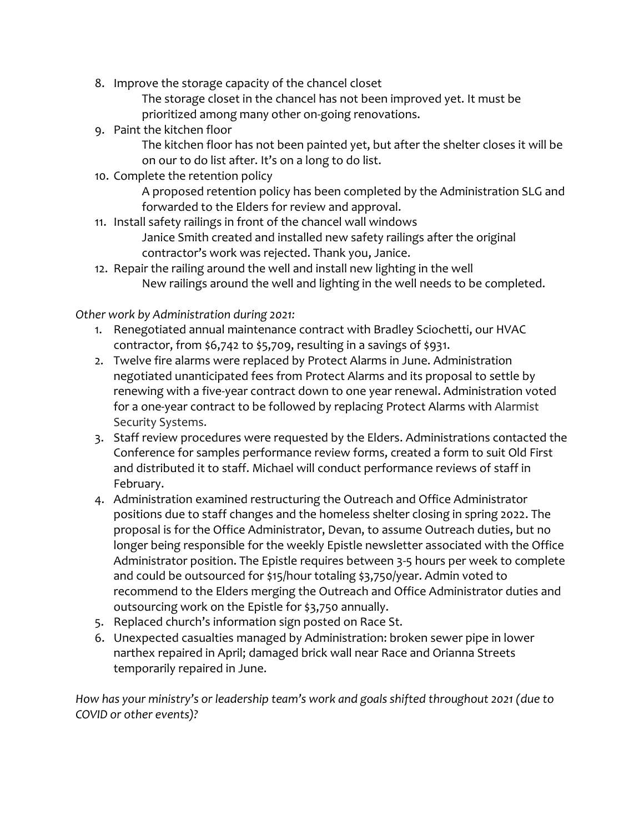8. Improve the storage capacity of the chancel closet

The storage closet in the chancel has not been improved yet. It must be prioritized among many other on-going renovations.

9. Paint the kitchen floor

The kitchen floor has not been painted yet, but after the shelter closes it will be on our to do list after. It's on a long to do list.

10. Complete the retention policy

A proposed retention policy has been completed by the Administration SLG and forwarded to the Elders for review and approval.

11. Install safety railings in front of the chancel wall windows

Janice Smith created and installed new safety railings after the original contractor's work was rejected. Thank you, Janice.

12. Repair the railing around the well and install new lighting in the well New railings around the well and lighting in the well needs to be completed.

*Other work by Administration during 2021:*

- 1. Renegotiated annual maintenance contract with Bradley Sciochetti, our HVAC contractor, from \$6,742 to \$5,709, resulting in a savings of \$931.
- 2. Twelve fire alarms were replaced by Protect Alarms in June. Administration negotiated unanticipated fees from Protect Alarms and its proposal to settle by renewing with a five-year contract down to one year renewal. Administration voted for a one-year contract to be followed by replacing Protect Alarms with Alarmist Security Systems.
- 3. Staff review procedures were requested by the Elders. Administrations contacted the Conference for samples performance review forms, created a form to suit Old First and distributed it to staff. Michael will conduct performance reviews of staff in February.
- 4. Administration examined restructuring the Outreach and Office Administrator positions due to staff changes and the homeless shelter closing in spring 2022. The proposal is for the Office Administrator, Devan, to assume Outreach duties, but no longer being responsible for the weekly Epistle newsletter associated with the Office Administrator position. The Epistle requires between 3-5 hours per week to complete and could be outsourced for \$15/hour totaling \$3,750/year. Admin voted to recommend to the Elders merging the Outreach and Office Administrator duties and outsourcing work on the Epistle for \$3,750 annually.
- 5. Replaced church's information sign posted on Race St.
- 6. Unexpected casualties managed by Administration: broken sewer pipe in lower narthex repaired in April; damaged brick wall near Race and Orianna Streets temporarily repaired in June.

*How has your ministry's or leadership team's work and goals shifted throughout 2021 (due to COVID or other events)?*